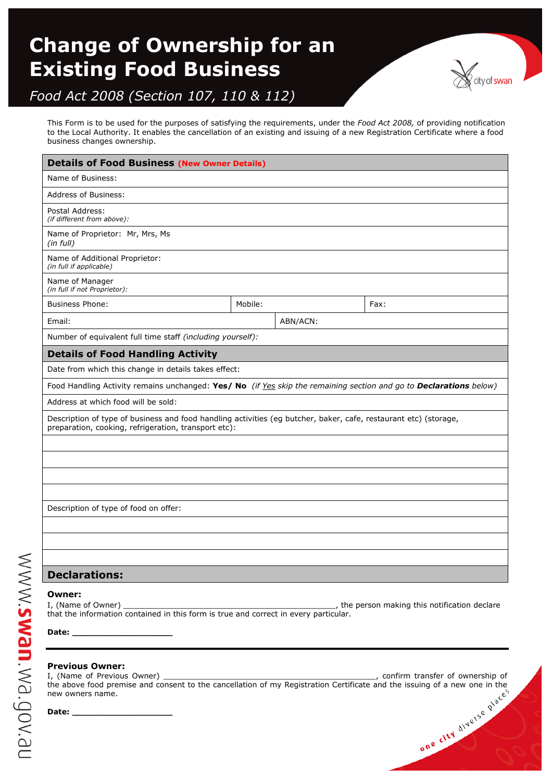# **Change of Ownership for an Existing Food Business**



# *Food Act 2008 (Section 107, 110 & 112)*

This Form is to be used for the purposes of satisfying the requirements, under the *Food Act 2008,* of providing notification to the Local Authority. It enables the cancellation of an existing and issuing of a new Registration Certificate where a food business changes ownership.

| <b>Details of Food Business (New Owner Details)</b>                                                                                                                      |         |          |      |  |
|--------------------------------------------------------------------------------------------------------------------------------------------------------------------------|---------|----------|------|--|
| Name of Business:                                                                                                                                                        |         |          |      |  |
| Address of Business:                                                                                                                                                     |         |          |      |  |
| Postal Address:<br>(if different from above):                                                                                                                            |         |          |      |  |
| Name of Proprietor: Mr, Mrs, Ms<br>(in full)                                                                                                                             |         |          |      |  |
| Name of Additional Proprietor:<br>(in full if applicable)                                                                                                                |         |          |      |  |
| Name of Manager<br>(in full if not Proprietor):                                                                                                                          |         |          |      |  |
| <b>Business Phone:</b>                                                                                                                                                   | Mobile: |          | Fax: |  |
| Email:                                                                                                                                                                   |         | ABN/ACN: |      |  |
| Number of equivalent full time staff (including yourself):                                                                                                               |         |          |      |  |
| <b>Details of Food Handling Activity</b>                                                                                                                                 |         |          |      |  |
| Date from which this change in details takes effect:                                                                                                                     |         |          |      |  |
| Food Handling Activity remains unchanged: Yes/ No (if Yes skip the remaining section and go to Declarations below)                                                       |         |          |      |  |
| Address at which food will be sold:                                                                                                                                      |         |          |      |  |
| Description of type of business and food handling activities (eg butcher, baker, cafe, restaurant etc) (storage,<br>preparation, cooking, refrigeration, transport etc): |         |          |      |  |
|                                                                                                                                                                          |         |          |      |  |
|                                                                                                                                                                          |         |          |      |  |
|                                                                                                                                                                          |         |          |      |  |
|                                                                                                                                                                          |         |          |      |  |
| Description of type of food on offer:                                                                                                                                    |         |          |      |  |
|                                                                                                                                                                          |         |          |      |  |
|                                                                                                                                                                          |         |          |      |  |
|                                                                                                                                                                          |         |          |      |  |
| <b>Declarations:</b>                                                                                                                                                     |         |          |      |  |

#### **Owner:**

I, (Name of Owner) \_\_\_\_\_\_\_\_\_\_\_\_\_\_\_\_\_\_\_\_\_\_\_\_\_\_\_\_\_\_\_\_\_\_\_\_\_\_\_\_\_\_\_\_\_, the person making this notification declare that the information contained in this form is true and correct in every particular.

**Date: \_\_\_\_\_\_\_\_\_\_\_\_\_\_\_\_\_\_\_**

nexobem:uems:www

## **Previous Owner:**

I, (Name of Previous Owner) \_\_\_\_\_\_\_\_\_\_\_\_\_\_\_\_\_\_\_\_\_\_\_\_\_\_\_\_\_\_\_\_\_\_\_\_\_\_\_\_\_\_\_\_\_, confirm transfer of ownership of the above food premise and consent to the cancellation of my Registration Certificate and the issuing of a new one in the new owners name.<br> **Date:**<br> **Date:**<br> **Date:** new owners name.

**Date: \_\_\_\_\_\_\_\_\_\_\_\_\_\_\_\_\_\_\_**